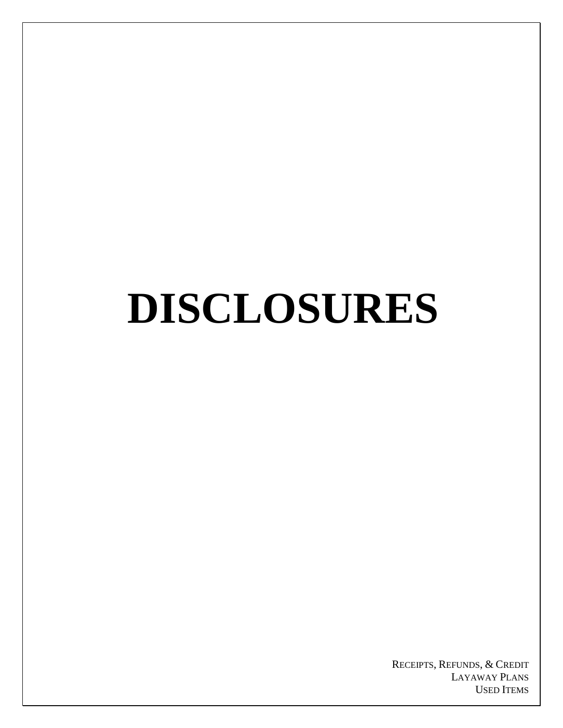# **DISCLOSURES**

RECEIPTS, REFUNDS, & CREDIT LAYAWAY PLANS USED ITEMS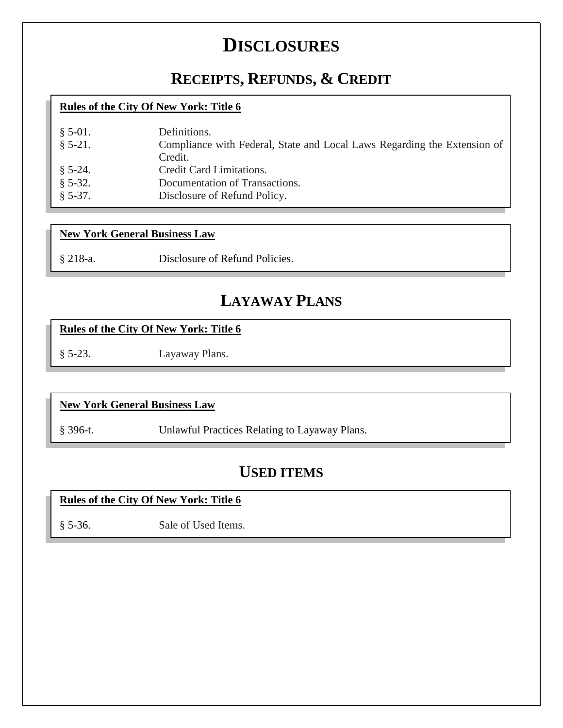## **DISCLOSURES**

### **[RECEIPTS,](#page-2-0) REFUNDS, & CREDIT**

#### **Rules of the City Of New York: Title 6**

| $\S$ 5-01.<br>$§ 5-21.$ | Definitions.<br>Compliance with Federal, State and Local Laws Regarding the Extension of<br>Credit. |
|-------------------------|-----------------------------------------------------------------------------------------------------|
| $\S$ 5-24.              | Credit Card Limitations.<br>Documentation of Transactions.                                          |
| $§ 5-32.$<br>$$5-37.$   | Disclosure of Refund Policy.                                                                        |

#### **New York General Business Law**

§ 218-a. [Disclosure of Refund Policies.](#page-6-0)

### **[LAYAWAY PLANS](#page-7-0)**

#### **Rules of the City Of New York: Title 6**

§ 5-23. [Layaway Plans.](#page-8-0)

#### **New York General Business Law**

§ 396-t. [Unlawful Practices Relating to Layaway Plans.](#page-9-0)

### **[USED ITEMS](#page-11-0)**

#### **Rules of the City Of New York: Title 6**

§ 5-36. [Sale of Used Items.](#page-12-0)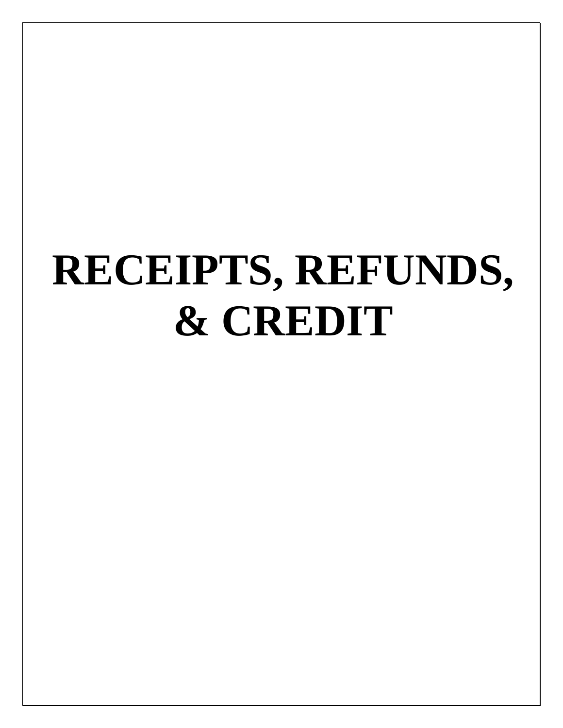## <span id="page-2-0"></span>**RECEIPTS, REFUNDS, & CREDIT**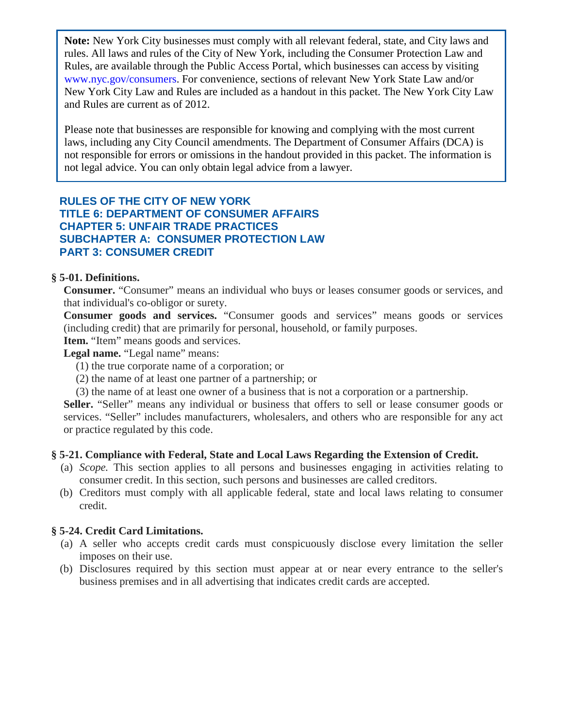<span id="page-3-0"></span>Please note that businesses are responsible for knowing and complying with the most current laws, including any City Council amendments. The Department of Consumer Affairs (DCA) is not responsible for errors or omissions in the handout provided in this packet. The information is not legal advice. You can only obtain legal advice from a lawyer.

#### **RULES OF THE CITY OF NEW YORK TITLE 6: DEPARTMENT OF CONSUMER AFFAIRS CHAPTER 5: UNFAIR TRADE PRACTICES SUBCHAPTER A: CONSUMER PROTECTION LAW PART 3: CONSUMER CREDIT**

#### **§ 5-01. Definitions.**

**Consumer.** "Consumer" means an individual who buys or leases consumer goods or services, and that individual's co-obligor or surety.

**Consumer goods and services.** "Consumer goods and services" means goods or services (including credit) that are primarily for personal, household, or family purposes.

Item. "Item" means goods and services.

Legal name. "Legal name" means:

- (1) the true corporate name of a corporation; or
- (2) the name of at least one partner of a partnership; or
- (3) the name of at least one owner of a business that is not a corporation or a partnership.

Seller. "Seller" means any individual or business that offers to sell or lease consumer goods or services. "Seller" includes manufacturers, wholesalers, and others who are responsible for any act or practice regulated by this code.

#### **§ 5-21. Compliance with Federal, State and Local Laws Regarding the Extension of Credit.**

- (a) *Scope.* This section applies to all persons and businesses engaging in activities relating to consumer credit. In this section, such persons and businesses are called creditors.
- (b) Creditors must comply with all applicable federal, state and local laws relating to consumer credit.

#### **§ 5-24. Credit Card Limitations.**

- (a) A seller who accepts credit cards must conspicuously disclose every limitation the seller imposes on their use.
- (b) Disclosures required by this section must appear at or near every entrance to the seller's business premises and in all advertising that indicates credit cards are accepted.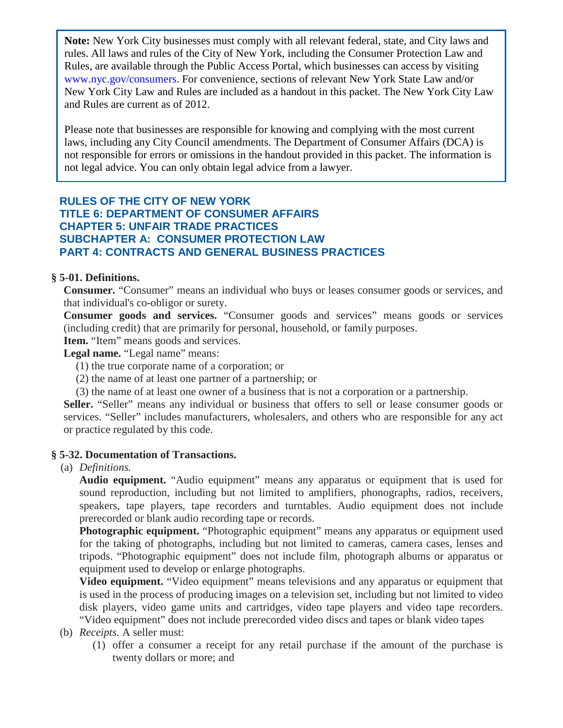<span id="page-4-0"></span>Please note that businesses are responsible for knowing and complying with the most current laws, including any City Council amendments. The Department of Consumer Affairs (DCA) is not responsible for errors or omissions in the handout provided in this packet. The information is not legal advice. You can only obtain legal advice from a lawyer.

#### **RULES OF THE CITY OF NEW YORK TITLE 6: DEPARTMENT OF CONSUMER AFFAIRS CHAPTER 5: UNFAIR TRADE PRACTICES SUBCHAPTER A: CONSUMER PROTECTION LAW PART 4: CONTRACTS AND GENERAL BUSINESS PRACTICES**

#### **§ 5-01. Definitions.**

**Consumer.** "Consumer" means an individual who buys or leases consumer goods or services, and that individual's co-obligor or surety.

**Consumer goods and services.** "Consumer goods and services" means goods or services (including credit) that are primarily for personal, household, or family purposes.

Item. "Item" means goods and services.

Legal name. "Legal name" means:

- (1) the true corporate name of a corporation; or
- (2) the name of at least one partner of a partnership; or
- (3) the name of at least one owner of a business that is not a corporation or a partnership.

Seller. "Seller" means any individual or business that offers to sell or lease consumer goods or services. "Seller" includes manufacturers, wholesalers, and others who are responsible for any act or practice regulated by this code.

#### **§ 5-32. Documentation of Transactions.**

#### (a) *Definitions.*

**Audio equipment.** "Audio equipment" means any apparatus or equipment that is used for sound reproduction, including but not limited to amplifiers, phonographs, radios, receivers, speakers, tape players, tape recorders and turntables. Audio equipment does not include prerecorded or blank audio recording tape or records.

**Photographic equipment.** "Photographic equipment" means any apparatus or equipment used for the taking of photographs, including but not limited to cameras, camera cases, lenses and tripods. "Photographic equipment" does not include film, photograph albums or apparatus or equipment used to develop or enlarge photographs.

**Video equipment.** "Video equipment" means televisions and any apparatus or equipment that is used in the process of producing images on a television set, including but not limited to video disk players, video game units and cartridges, video tape players and video tape recorders. "Video equipment" does not include prerecorded video discs and tapes or blank video tapes

- (b) *Receipts.* A seller must:
	- (1) offer a consumer a receipt for any retail purchase if the amount of the purchase is twenty dollars or more; and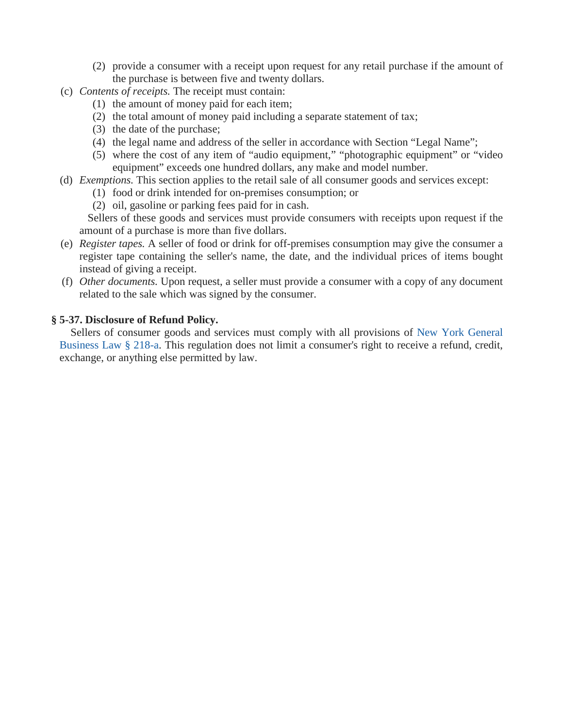- (2) provide a consumer with a receipt upon request for any retail purchase if the amount of the purchase is between five and twenty dollars.
- <span id="page-5-0"></span>(c) *Contents of receipts.* The receipt must contain:
	- (1) the amount of money paid for each item;
	- (2) the total amount of money paid including a separate statement of tax;
	- (3) the date of the purchase;
	- (4) the legal name and address of the seller in accordance with Section "Legal Name";
	- (5) where the cost of any item of "audio equipment," "photographic equipment" or "video equipment" exceeds one hundred dollars, any make and model number.
- (d) *Exemptions.* This section applies to the retail sale of all consumer goods and services except:
	- (1) food or drink intended for on-premises consumption; or
		- (2) oil, gasoline or parking fees paid for in cash.

 Sellers of these goods and services must provide consumers with receipts upon request if the amount of a purchase is more than five dollars.

- (e) *Register tapes.* A seller of food or drink for off-premises consumption may give the consumer a register tape containing the seller's name, the date, and the individual prices of items bought instead of giving a receipt.
- (f) *Other documents.* Upon request, a seller must provide a consumer with a copy of any document related to the sale which was signed by the consumer.

#### **§ 5-37. Disclosure of Refund Policy.**

 Sellers of consumer goods and services must comply with all provisions of [New York General](#page-6-1)  [Business Law § 218-a.](#page-6-1) This regulation does not limit a consumer's right to receive a refund, credit, exchange, or anything else permitted by law.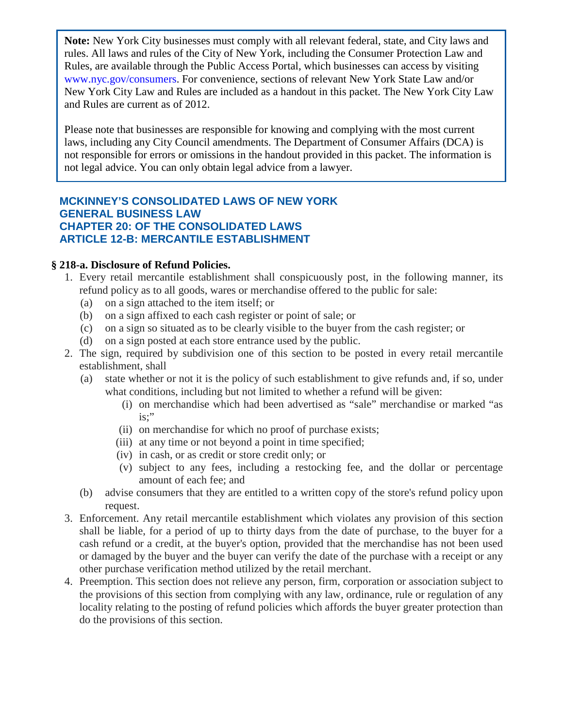<span id="page-6-0"></span>Please note that businesses are responsible for knowing and complying with the most current laws, including any City Council amendments. The Department of Consumer Affairs (DCA) is not responsible for errors or omissions in the handout provided in this packet. The information is not legal advice. You can only obtain legal advice from a lawyer.

#### **MCKINNEY'S CONSOLIDATED LAWS OF NEW YORK GENERAL BUSINESS LAW CHAPTER 20: OF THE CONSOLIDATED LAWS ARTICLE 12-B: MERCANTILE ESTABLISHMENT**

#### <span id="page-6-1"></span>**§ 218-a. Disclosure of Refund Policies.**

- 1. Every retail mercantile establishment shall conspicuously post, in the following manner, its refund policy as to all goods, wares or merchandise offered to the public for sale:
	- (a) on a sign attached to the item itself; or
	- (b) on a sign affixed to each cash register or point of sale; or
	- (c) on a sign so situated as to be clearly visible to the buyer from the cash register; or
	- (d) on a sign posted at each store entrance used by the public.
- 2. The sign, required by subdivision one of this section to be posted in every retail mercantile establishment, shall
	- (a) state whether or not it is the policy of such establishment to give refunds and, if so, under what conditions, including but not limited to whether a refund will be given:
		- (i) on merchandise which had been advertised as "sale" merchandise or marked "as is;"
		- (ii) on merchandise for which no proof of purchase exists;
		- (iii) at any time or not beyond a point in time specified;
		- (iv) in cash, or as credit or store credit only; or
		- (v) subject to any fees, including a restocking fee, and the dollar or percentage amount of each fee; and
	- (b) advise consumers that they are entitled to a written copy of the store's refund policy upon request.
- 3. Enforcement. Any retail mercantile establishment which violates any provision of this section shall be liable, for a period of up to thirty days from the date of purchase, to the buyer for a cash refund or a credit, at the buyer's option, provided that the merchandise has not been used or damaged by the buyer and the buyer can verify the date of the purchase with a receipt or any other purchase verification method utilized by the retail merchant.
- 4. Preemption. This section does not relieve any person, firm, corporation or association subject to the provisions of this section from complying with any law, ordinance, rule or regulation of any locality relating to the posting of refund policies which affords the buyer greater protection than do the provisions of this section.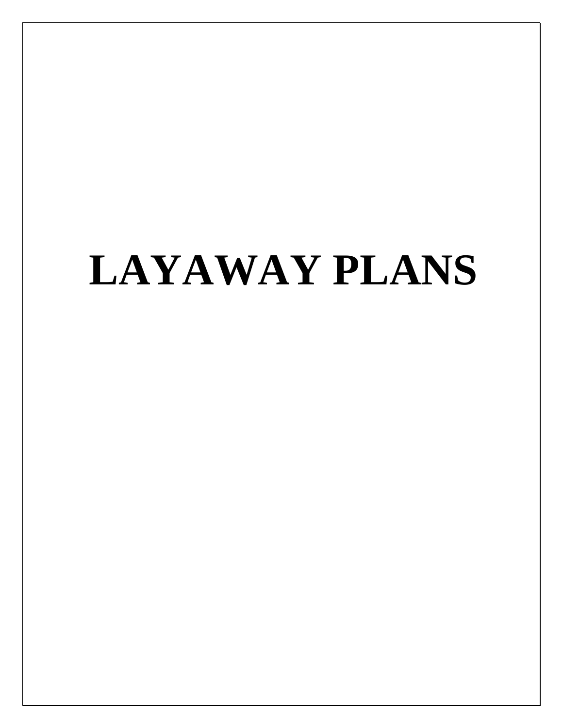## <span id="page-7-0"></span>**LAYAWAY PLANS**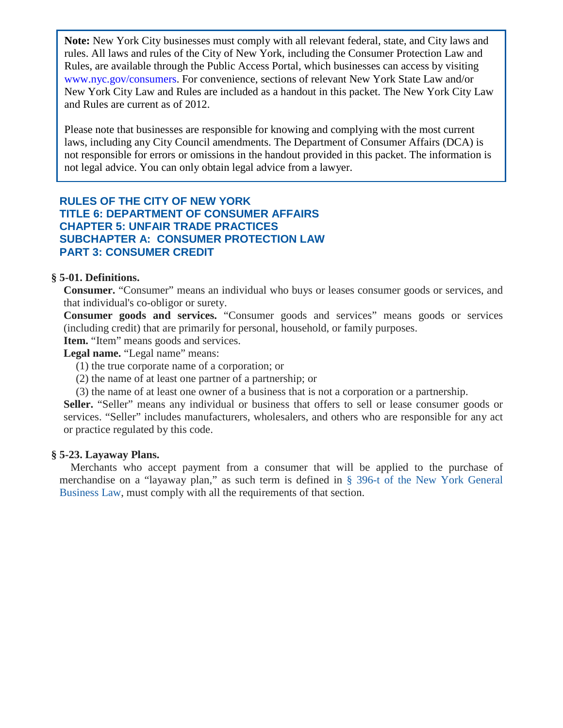<span id="page-8-0"></span>Please note that businesses are responsible for knowing and complying with the most current laws, including any City Council amendments. The Department of Consumer Affairs (DCA) is not responsible for errors or omissions in the handout provided in this packet. The information is not legal advice. You can only obtain legal advice from a lawyer.

#### **RULES OF THE CITY OF NEW YORK TITLE 6: DEPARTMENT OF CONSUMER AFFAIRS CHAPTER 5: UNFAIR TRADE PRACTICES SUBCHAPTER A: CONSUMER PROTECTION LAW PART 3: CONSUMER CREDIT**

#### **§ 5-01. Definitions.**

**Consumer.** "Consumer" means an individual who buys or leases consumer goods or services, and that individual's co-obligor or surety.

**Consumer goods and services.** "Consumer goods and services" means goods or services (including credit) that are primarily for personal, household, or family purposes.

Item. "Item" means goods and services.

Legal name. "Legal name" means:

(1) the true corporate name of a corporation; or

(2) the name of at least one partner of a partnership; or

(3) the name of at least one owner of a business that is not a corporation or a partnership.

Seller. "Seller" means any individual or business that offers to sell or lease consumer goods or services. "Seller" includes manufacturers, wholesalers, and others who are responsible for any act or practice regulated by this code.

#### **§ 5-23. Layaway Plans.**

 Merchants who accept payment from a consumer that will be applied to the purchase of merchandise on a "layaway plan," as such term is defined in [§ 396-t of the New York General](#page-9-1) [Business Law,](#page-9-1) must comply with all the requirements of that section.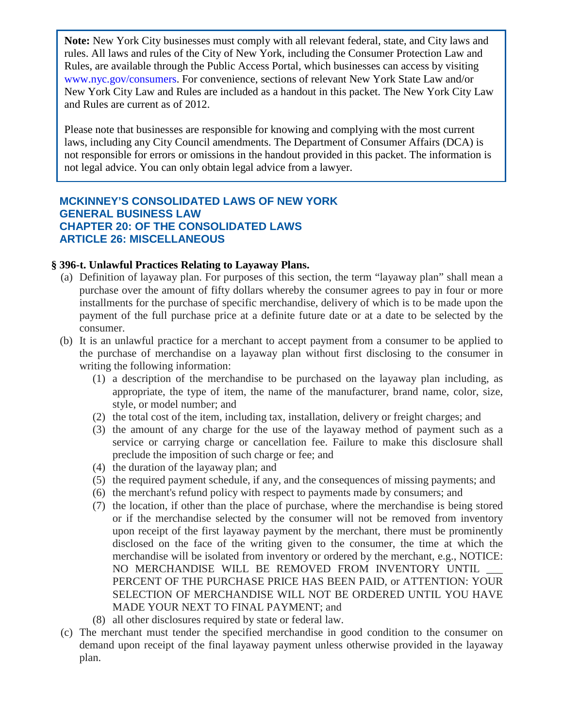<span id="page-9-0"></span>Please note that businesses are responsible for knowing and complying with the most current laws, including any City Council amendments. The Department of Consumer Affairs (DCA) is not responsible for errors or omissions in the handout provided in this packet. The information is not legal advice. You can only obtain legal advice from a lawyer.

#### **MCKINNEY'S CONSOLIDATED LAWS OF NEW YORK GENERAL BUSINESS LAW CHAPTER 20: OF THE CONSOLIDATED LAWS ARTICLE 26: MISCELLANEOUS**

#### <span id="page-9-1"></span>**§ 396-t. Unlawful Practices Relating to Layaway Plans.**

- (a) Definition of layaway plan. For purposes of this section, the term "layaway plan" shall mean a purchase over the amount of fifty dollars whereby the consumer agrees to pay in four or more installments for the purchase of specific merchandise, delivery of which is to be made upon the payment of the full purchase price at a definite future date or at a date to be selected by the consumer.
- (b) It is an unlawful practice for a merchant to accept payment from a consumer to be applied to the purchase of merchandise on a layaway plan without first disclosing to the consumer in writing the following information:
	- (1) a description of the merchandise to be purchased on the layaway plan including, as appropriate, the type of item, the name of the manufacturer, brand name, color, size, style, or model number; and
	- (2) the total cost of the item, including tax, installation, delivery or freight charges; and
	- (3) the amount of any charge for the use of the layaway method of payment such as a service or carrying charge or cancellation fee. Failure to make this disclosure shall preclude the imposition of such charge or fee; and
	- (4) the duration of the layaway plan; and
	- (5) the required payment schedule, if any, and the consequences of missing payments; and
	- (6) the merchant's refund policy with respect to payments made by consumers; and
	- (7) the location, if other than the place of purchase, where the merchandise is being stored or if the merchandise selected by the consumer will not be removed from inventory upon receipt of the first layaway payment by the merchant, there must be prominently disclosed on the face of the writing given to the consumer, the time at which the merchandise will be isolated from inventory or ordered by the merchant, e.g., NOTICE: NO MERCHANDISE WILL BE REMOVED FROM INVENTORY UNTIL PERCENT OF THE PURCHASE PRICE HAS BEEN PAID, or ATTENTION: YOUR SELECTION OF MERCHANDISE WILL NOT BE ORDERED UNTIL YOU HAVE MADE YOUR NEXT TO FINAL PAYMENT; and
	- (8) all other disclosures required by state or federal law.
- (c) The merchant must tender the specified merchandise in good condition to the consumer on demand upon receipt of the final layaway payment unless otherwise provided in the layaway plan.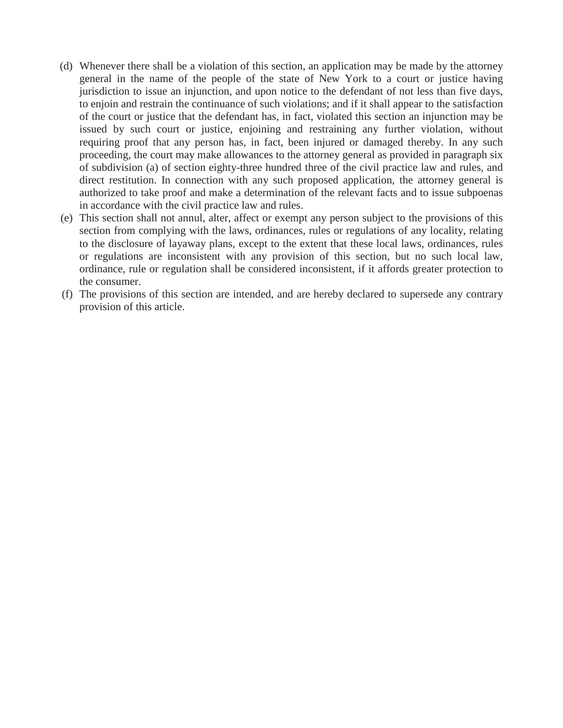- (d) Whenever there shall be a violation of this section, an application may be made by the attorney general in the name of the people of the state of New York to a court or justice having jurisdiction to issue an injunction, and upon notice to the defendant of not less than five days, to enjoin and restrain the continuance of such violations; and if it shall appear to the satisfaction of the court or justice that the defendant has, in fact, violated this section an injunction may be issued by such court or justice, enjoining and restraining any further violation, without requiring proof that any person has, in fact, been injured or damaged thereby. In any such proceeding, the court may make allowances to the attorney general as provided in paragraph six of subdivision (a) of section eighty-three hundred three of the civil practice law and rules, and direct restitution. In connection with any such proposed application, the attorney general is authorized to take proof and make a determination of the relevant facts and to issue subpoenas in accordance with the civil practice law and rules.
- (e) This section shall not annul, alter, affect or exempt any person subject to the provisions of this section from complying with the laws, ordinances, rules or regulations of any locality, relating to the disclosure of layaway plans, except to the extent that these local laws, ordinances, rules or regulations are inconsistent with any provision of this section, but no such local law, ordinance, rule or regulation shall be considered inconsistent, if it affords greater protection to the consumer.
- (f) The provisions of this section are intended, and are hereby declared to supersede any contrary provision of this article.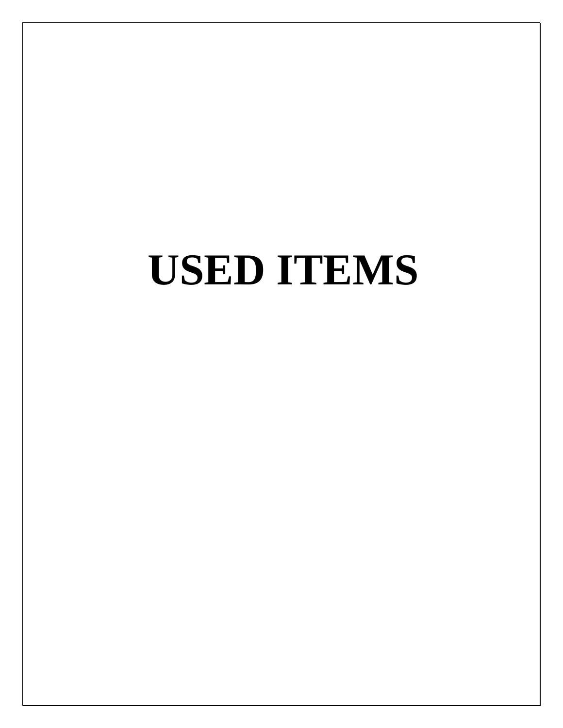## <span id="page-11-0"></span>**USED ITEMS**